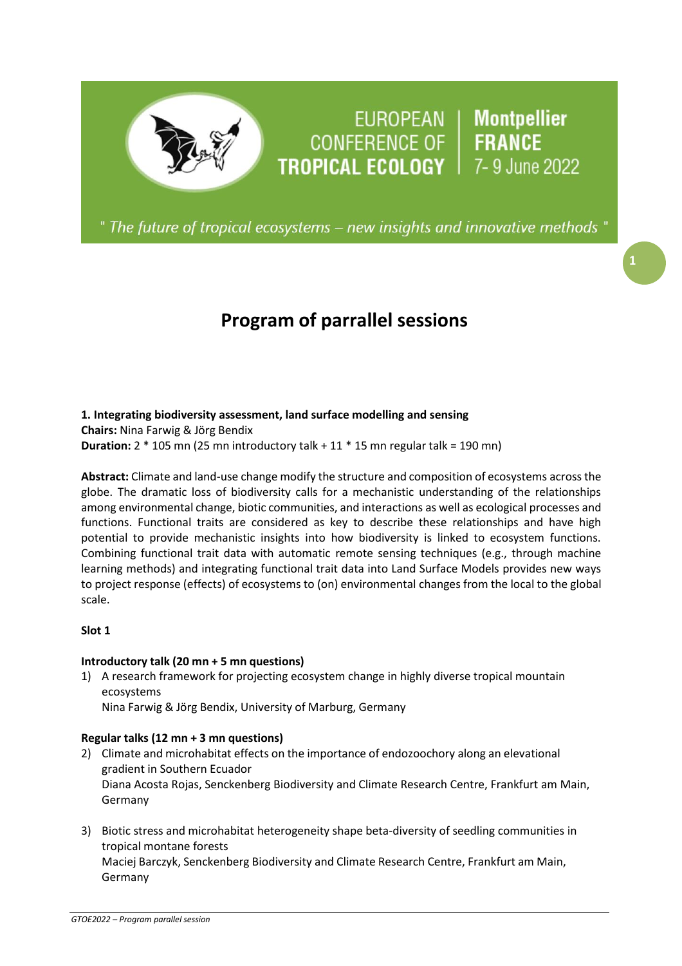# EUROPEAN | Montpellier<br>CONFERENCE OF | FRANCE<br>TROPICAL ECOLOGY | 7-9 June 2022

" The future of tropical ecosystems – new insights and innovative methods "

# **Program of parrallel sessions**

# **1. Integrating biodiversity assessment, land surface modelling and sensing**

**Chairs:** Nina Farwig & Jörg Bendix **Duration:** 2 \* 105 mn (25 mn introductory talk + 11 \* 15 mn regular talk = 190 mn)

**Abstract:** Climate and land-use change modify the structure and composition of ecosystems acrossthe globe. The dramatic loss of biodiversity calls for a mechanistic understanding of the relationships among environmental change, biotic communities, and interactions as well as ecological processes and functions. Functional traits are considered as key to describe these relationships and have high potential to provide mechanistic insights into how biodiversity is linked to ecosystem functions. Combining functional trait data with automatic remote sensing techniques (e.g., through machine learning methods) and integrating functional trait data into Land Surface Models provides new ways to project response (effects) of ecosystems to (on) environmental changes from the local to the global scale.

# **Slot 1**

# **Introductory talk (20 mn + 5 mn questions)**

1) A research framework for projecting ecosystem change in highly diverse tropical mountain ecosystems

Nina Farwig & Jörg Bendix, University of Marburg, Germany

# **Regular talks (12 mn + 3 mn questions)**

- 2) Climate and microhabitat effects on the importance of endozoochory along an elevational gradient in Southern Ecuador Diana Acosta Rojas, Senckenberg Biodiversity and Climate Research Centre, Frankfurt am Main, Germany
- 3) Biotic stress and microhabitat heterogeneity shape beta-diversity of seedling communities in tropical montane forests Maciej Barczyk, Senckenberg Biodiversity and Climate Research Centre, Frankfurt am Main, Germany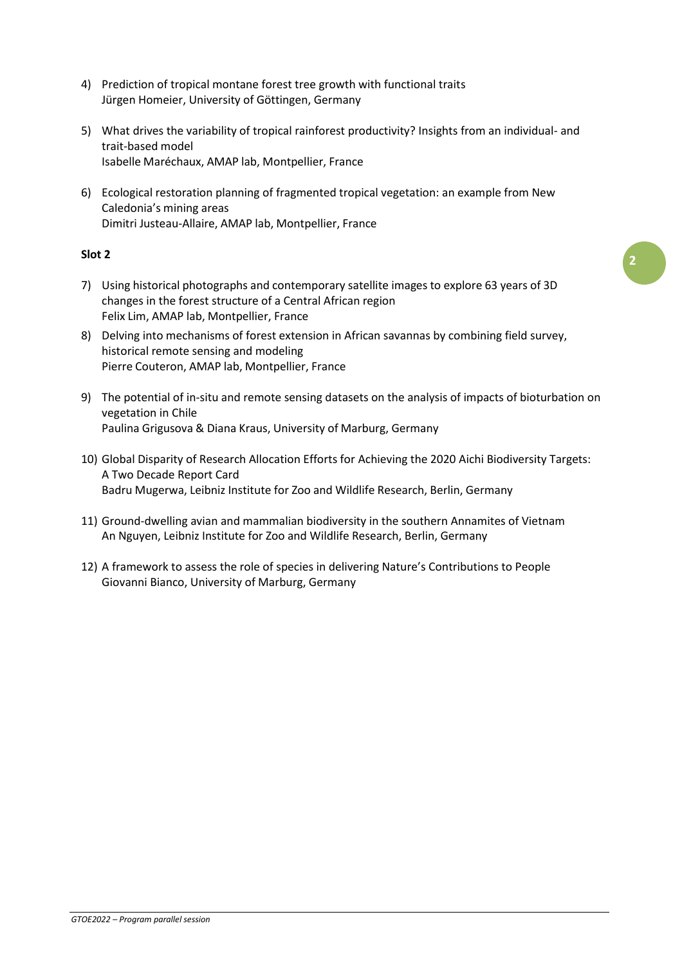- 4) Prediction of tropical montane forest tree growth with functional traits Jürgen Homeier, University of Göttingen, Germany
- 5) What drives the variability of tropical rainforest productivity? Insights from an individual- and trait-based model Isabelle Maréchaux, AMAP lab, Montpellier, France
- 6) Ecological restoration planning of fragmented tropical vegetation: an example from New Caledonia's mining areas Dimitri Justeau-Allaire, AMAP lab, Montpellier, France

# **Slot 2**

- 7) Using historical photographs and contemporary satellite images to explore 63 years of 3D changes in the forest structure of a Central African region Felix Lim, AMAP lab, Montpellier, France
- 8) Delving into mechanisms of forest extension in African savannas by combining field survey, historical remote sensing and modeling Pierre Couteron, AMAP lab, Montpellier, France
- 9) The potential of in-situ and remote sensing datasets on the analysis of impacts of bioturbation on vegetation in Chile Paulina Grigusova & Diana Kraus, University of Marburg, Germany
- 10) Global Disparity of Research Allocation Efforts for Achieving the 2020 Aichi Biodiversity Targets: A Two Decade Report Card Badru Mugerwa, Leibniz Institute for Zoo and Wildlife Research, Berlin, Germany
- 11) Ground-dwelling avian and mammalian biodiversity in the southern Annamites of Vietnam An Nguyen, Leibniz Institute for Zoo and Wildlife Research, Berlin, Germany
- 12) A framework to assess the role of species in delivering Nature's Contributions to People Giovanni Bianco, University of Marburg, Germany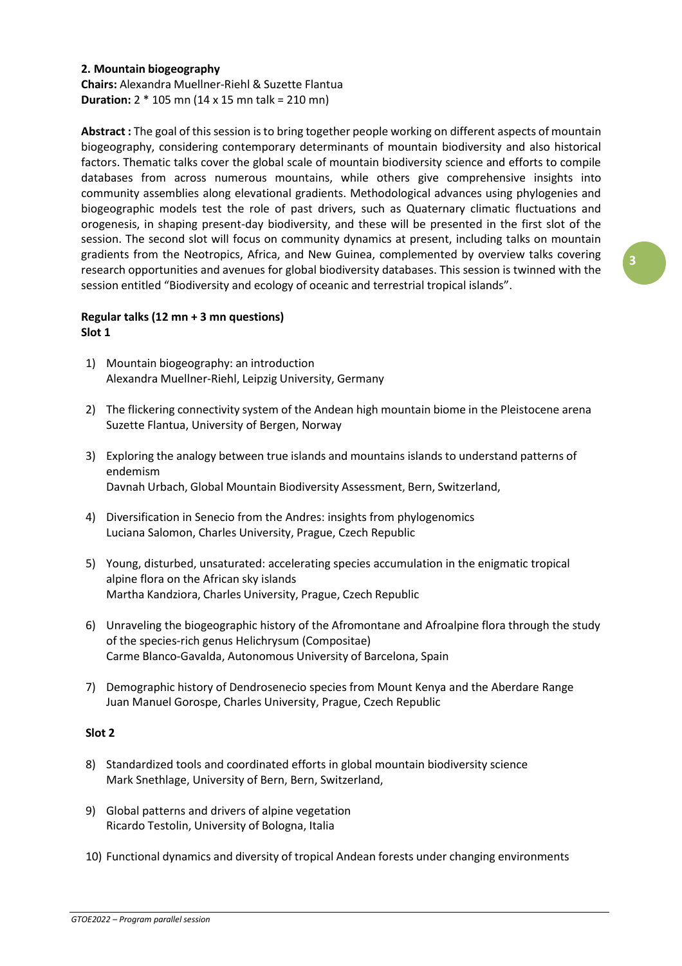# **2. Mountain biogeography**

**Chairs:** Alexandra Muellner-Riehl & Suzette Flantua **Duration:** 2 \* 105 mn (14 x 15 mn talk = 210 mn)

**Abstract :** The goal of this session isto bring together people working on different aspects of mountain biogeography, considering contemporary determinants of mountain biodiversity and also historical factors. Thematic talks cover the global scale of mountain biodiversity science and efforts to compile databases from across numerous mountains, while others give comprehensive insights into community assemblies along elevational gradients. Methodological advances using phylogenies and biogeographic models test the role of past drivers, such as Quaternary climatic fluctuations and orogenesis, in shaping present-day biodiversity, and these will be presented in the first slot of the session. The second slot will focus on community dynamics at present, including talks on mountain gradients from the Neotropics, Africa, and New Guinea, complemented by overview talks covering research opportunities and avenues for global biodiversity databases. This session is twinned with the session entitled "Biodiversity and ecology of oceanic and terrestrial tropical islands".

# **Regular talks (12 mn + 3 mn questions) Slot 1**

- 1) Mountain biogeography: an introduction Alexandra Muellner-Riehl, Leipzig University, Germany
- 2) The flickering connectivity system of the Andean high mountain biome in the Pleistocene arena Suzette Flantua, University of Bergen, Norway
- 3) Exploring the analogy between true islands and mountains islands to understand patterns of endemism Davnah Urbach, Global Mountain Biodiversity Assessment, Bern, Switzerland,
- 4) Diversification in Senecio from the Andres: insights from phylogenomics Luciana Salomon, Charles University, Prague, Czech Republic
- 5) Young, disturbed, unsaturated: accelerating species accumulation in the enigmatic tropical alpine flora on the African sky islands Martha Kandziora, Charles University, Prague, Czech Republic
- 6) Unraveling the biogeographic history of the Afromontane and Afroalpine flora through the study of the species-rich genus Helichrysum (Compositae) Carme Blanco-Gavalda, Autonomous University of Barcelona, Spain
- 7) Demographic history of Dendrosenecio species from Mount Kenya and the Aberdare Range Juan Manuel Gorospe, Charles University, Prague, Czech Republic

# **Slot 2**

- 8) Standardized tools and coordinated efforts in global mountain biodiversity science Mark Snethlage, University of Bern, Bern, Switzerland,
- 9) Global patterns and drivers of alpine vegetation Ricardo Testolin, University of Bologna, Italia
- 10) Functional dynamics and diversity of tropical Andean forests under changing environments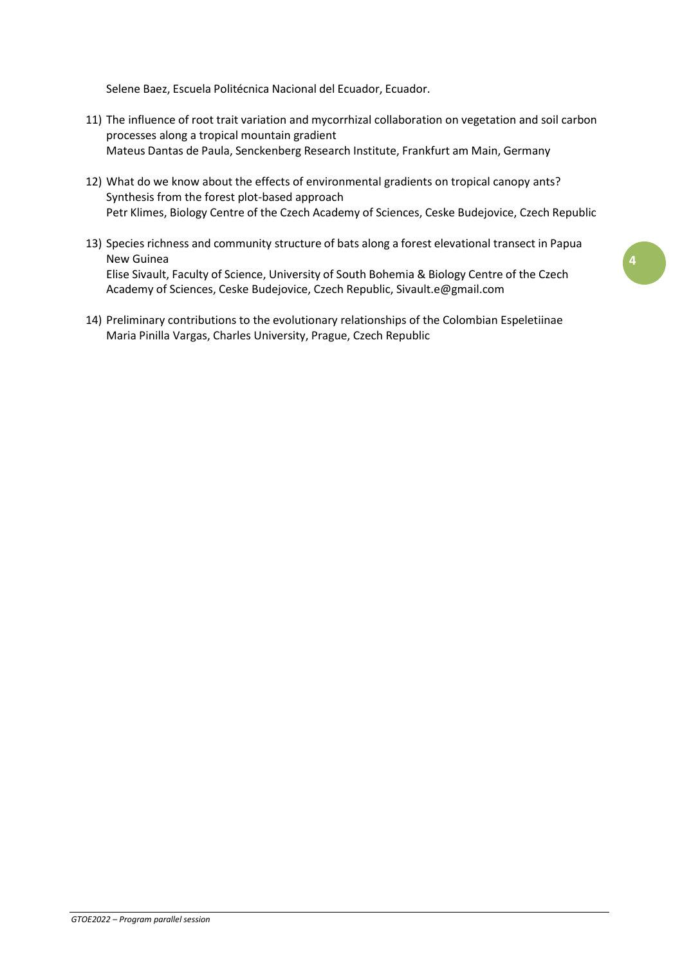Selene Baez, Escuela Politécnica Nacional del Ecuador, Ecuador.

- 11) The influence of root trait variation and mycorrhizal collaboration on vegetation and soil carbon processes along a tropical mountain gradient Mateus Dantas de Paula, Senckenberg Research Institute, Frankfurt am Main, Germany
- 12) What do we know about the effects of environmental gradients on tropical canopy ants? Synthesis from the forest plot-based approach Petr Klimes, Biology Centre of the Czech Academy of Sciences, Ceske Budejovice, Czech Republic
- 13) Species richness and community structure of bats along a forest elevational transect in Papua New Guinea Elise Sivault, Faculty of Science, University of South Bohemia & Biology Centre of the Czech Academy of Sciences, Ceske Budejovice, Czech Republic, [Sivault.e@gmail.com](mailto:Sivault.e@gmail.com)
- 14) Preliminary contributions to the evolutionary relationships of the Colombian Espeletiinae Maria Pinilla Vargas, Charles University, Prague, Czech Republic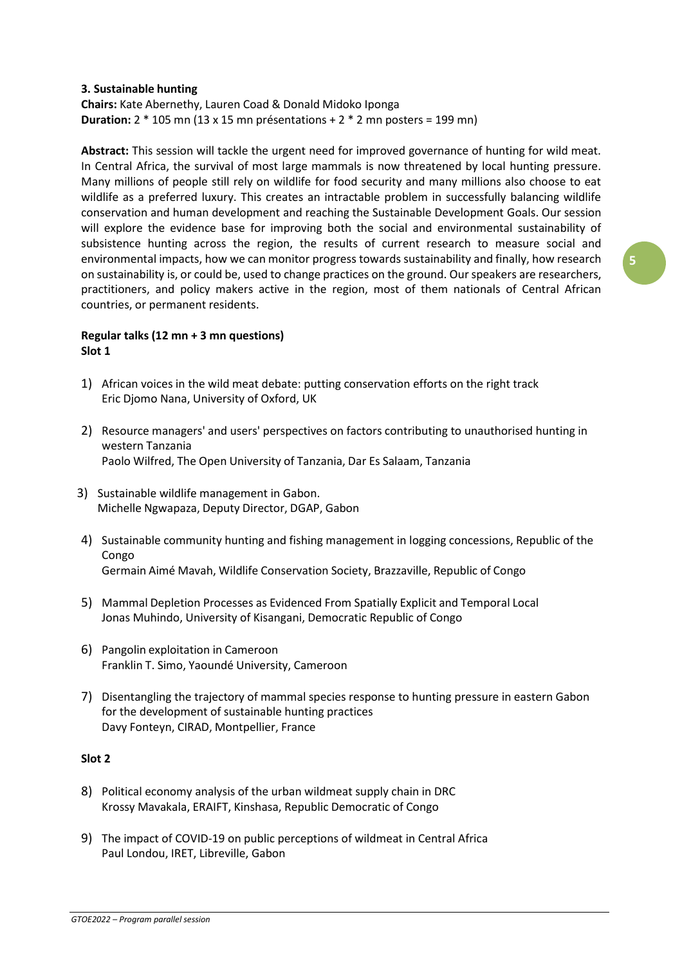#### **3. Sustainable hunting**

# **Chairs:** Kate Abernethy, Lauren Coad & Donald Midoko Iponga **Duration:** 2 \* 105 mn (13 x 15 mn présentations + 2 \* 2 mn posters = 199 mn)

**Abstract:** This session will tackle the urgent need for improved governance of hunting for wild meat. In Central Africa, the survival of most large mammals is now threatened by local hunting pressure. Many millions of people still rely on wildlife for food security and many millions also choose to eat wildlife as a preferred luxury. This creates an intractable problem in successfully balancing wildlife conservation and human development and reaching the Sustainable Development Goals. Our session will explore the evidence base for improving both the social and environmental sustainability of subsistence hunting across the region, the results of current research to measure social and environmental impacts, how we can monitor progress towards sustainability and finally, how research on sustainability is, or could be, used to change practices on the ground. Ourspeakers are researchers, practitioners, and policy makers active in the region, most of them nationals of Central African countries, or permanent residents.

# **Regular talks (12 mn + 3 mn questions) Slot 1**

- 1) African voices in the wild meat debate: putting conservation efforts on the right track Eric Djomo Nana, University of Oxford, UK
- 2) Resource managers' and users' perspectives on factors contributing to unauthorised hunting in western Tanzania Paolo Wilfred, The Open University of Tanzania, Dar Es Salaam, Tanzania
- 3) Sustainable wildlife management in Gabon. Michelle Ngwapaza, Deputy Director, DGAP, Gabon
- 4) Sustainable community hunting and fishing management in logging concessions, Republic of the Congo Germain Aimé Mavah, Wildlife Conservation Society, Brazzaville, Republic of Congo
- 5) Mammal Depletion Processes as Evidenced From Spatially Explicit and Temporal Local Jonas Muhindo, University of Kisangani, Democratic Republic of Congo
- 6) Pangolin exploitation in Cameroon Franklin T. Simo, Yaoundé University, Cameroon
- 7) Disentangling the trajectory of mammal species response to hunting pressure in eastern Gabon for the development of sustainable hunting practices Davy Fonteyn, CIRAD, Montpellier, France

# **Slot 2**

- 8) Political economy analysis of the urban wildmeat supply chain in DRC Krossy Mavakala, ERAIFT, Kinshasa, Republic Democratic of Congo
- 9) The impact of COVID-19 on public perceptions of wildmeat in Central Africa Paul Londou, IRET, Libreville, Gabon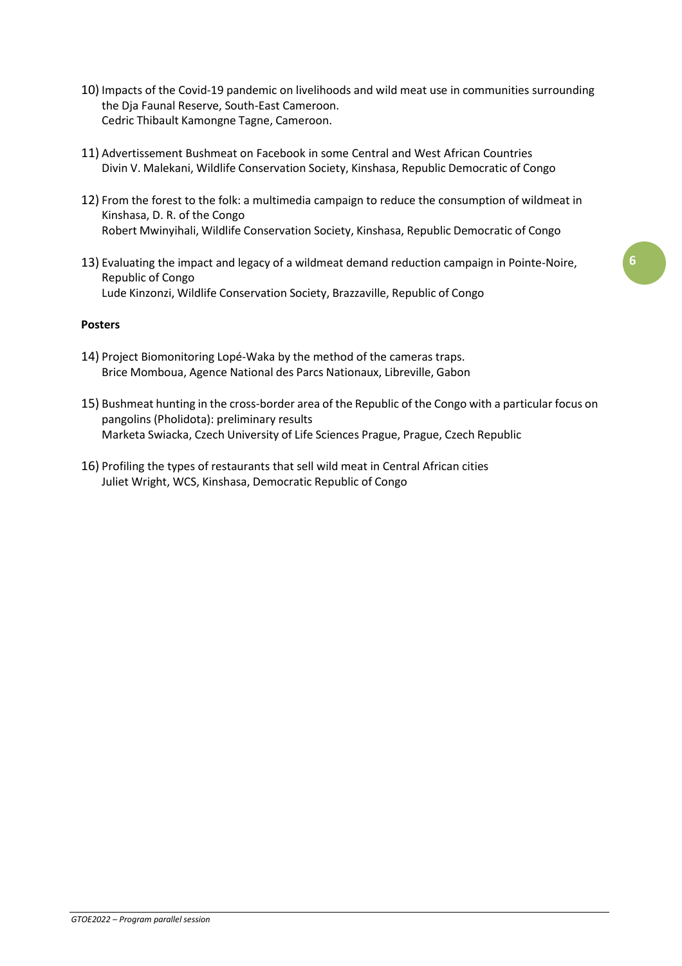- 10) Impacts of the Covid-19 pandemic on livelihoods and wild meat use in communities surrounding the Dja Faunal Reserve, South-East Cameroon. Cedric Thibault Kamongne Tagne, Cameroon.
- 11) Advertissement Bushmeat on Facebook in some Central and West African Countries Divin V. Malekani, Wildlife Conservation Society, Kinshasa, Republic Democratic of Congo
- 12) From the forest to the folk: a multimedia campaign to reduce the consumption of wildmeat in Kinshasa, D. R. of the Congo Robert Mwinyihali, Wildlife Conservation Society, Kinshasa, Republic Democratic of Congo
- 13) Evaluating the impact and legacy of a wildmeat demand reduction campaign in Pointe-Noire, Republic of Congo Lude Kinzonzi, Wildlife Conservation Society, Brazzaville, Republic of Congo

#### **Posters**

- 14) Project Biomonitoring Lopé-Waka by the method of the cameras traps. Brice Momboua, Agence National des Parcs Nationaux, Libreville, Gabon
- 15) Bushmeat hunting in the cross-border area of the Republic of the Congo with a particular focus on pangolins (Pholidota): preliminary results Marketa Swiacka, Czech University of Life Sciences Prague, Prague, Czech Republic
- 16) Profiling the types of restaurants that sell wild meat in Central African cities Juliet Wright, WCS, Kinshasa, Democratic Republic of Congo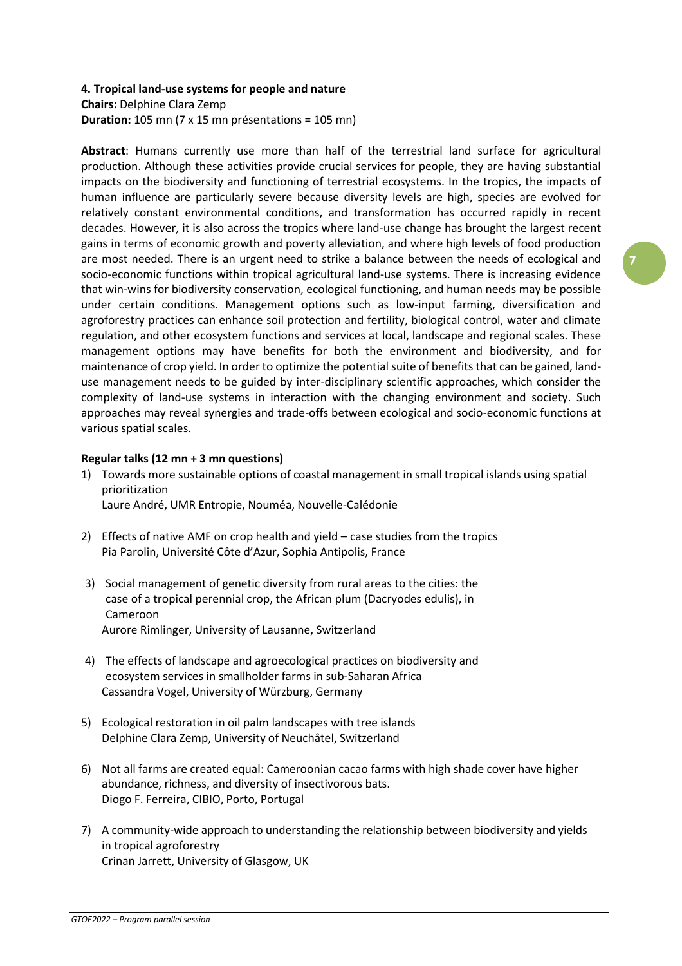#### **4. Tropical land-use systems for people and nature**

**Chairs:** Delphine Clara Zemp **Duration:** 105 mn (7 x 15 mn présentations = 105 mn)

**Abstract**: Humans currently use more than half of the terrestrial land surface for agricultural production. Although these activities provide crucial services for people, they are having substantial impacts on the biodiversity and functioning of terrestrial ecosystems. In the tropics, the impacts of human influence are particularly severe because diversity levels are high, species are evolved for relatively constant environmental conditions, and transformation has occurred rapidly in recent decades. However, it is also across the tropics where land-use change has brought the largest recent gains in terms of economic growth and poverty alleviation, and where high levels of food production are most needed. There is an urgent need to strike a balance between the needs of ecological and socio-economic functions within tropical agricultural land-use systems. There is increasing evidence that win-wins for biodiversity conservation, ecological functioning, and human needs may be possible under certain conditions. Management options such as low-input farming, diversification and agroforestry practices can enhance soil protection and fertility, biological control, water and climate regulation, and other ecosystem functions and services at local, landscape and regional scales. These management options may have benefits for both the environment and biodiversity, and for maintenance of crop yield. In order to optimize the potential suite of benefits that can be gained, landuse management needs to be guided by inter-disciplinary scientific approaches, which consider the complexity of land-use systems in interaction with the changing environment and society. Such approaches may reveal synergies and trade-offs between ecological and socio-economic functions at various spatial scales.

# **Regular talks (12 mn + 3 mn questions)**

- 1) Towards more sustainable options of coastal management in small tropical islands using spatial prioritization Laure André, UMR Entropie, Nouméa, Nouvelle-Calédonie
- 2) Effects of native AMF on crop health and yield case studies from the tropics Pia Parolin, Université Côte d'Azur, Sophia Antipolis, France
- 3) Social management of genetic diversity from rural areas to the cities: the case of a tropical perennial crop, the African plum (Dacryodes edulis), in Cameroon Aurore Rimlinger, University of Lausanne, Switzerland
- 4) The effects of landscape and agroecological practices on biodiversity and ecosystem services in smallholder farms in sub-Saharan Africa Cassandra Vogel, University of Würzburg, Germany
- 5) Ecological restoration in oil palm landscapes with tree islands Delphine Clara Zemp, University of Neuchâtel, Switzerland
- 6) Not all farms are created equal: Cameroonian cacao farms with high shade cover have higher abundance, richness, and diversity of insectivorous bats. Diogo F. Ferreira, CIBIO, Porto, Portugal
- 7) A community-wide approach to understanding the relationship between biodiversity and yields in tropical agroforestry Crinan Jarrett, University of Glasgow, UK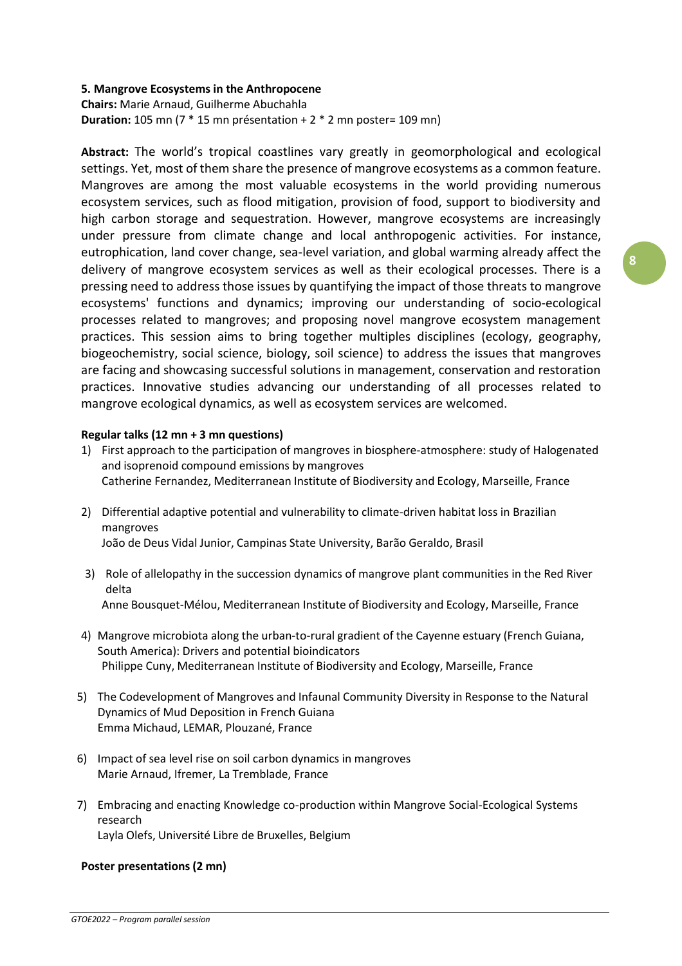# **5. Mangrove Ecosystems in the Anthropocene**

**Chairs:** Marie Arnaud, Guilherme Abuchahla **Duration:** 105 mn (7 \* 15 mn présentation + 2 \* 2 mn poster= 109 mn)

**Abstract:** The world's tropical coastlines vary greatly in geomorphological and ecological settings. Yet, most of them share the presence of mangrove ecosystems as a common feature. Mangroves are among the most valuable ecosystems in the world providing numerous ecosystem services, such as flood mitigation, provision of food, support to biodiversity and high carbon storage and sequestration. However, mangrove ecosystems are increasingly under pressure from climate change and local anthropogenic activities. For instance, eutrophication, land cover change, sea-level variation, and global warming already affect the delivery of mangrove ecosystem services as well as their ecological processes. There is a pressing need to address those issues by quantifying the impact of those threats to mangrove ecosystems' functions and dynamics; improving our understanding of socio-ecological processes related to mangroves; and proposing novel mangrove ecosystem management practices. This session aims to bring together multiples disciplines (ecology, geography, biogeochemistry, social science, biology, soil science) to address the issues that mangroves are facing and showcasing successful solutions in management, conservation and restoration practices. Innovative studies advancing our understanding of all processes related to mangrove ecological dynamics, as well as ecosystem services are welcomed.

# **Regular talks (12 mn + 3 mn questions)**

- 1) First approach to the participation of mangroves in biosphere-atmosphere: study of Halogenated and isoprenoid compound emissions by mangroves Catherine Fernandez, Mediterranean Institute of Biodiversity and Ecology, Marseille, France
- 2) Differential adaptive potential and vulnerability to climate-driven habitat loss in Brazilian mangroves João de Deus Vidal Junior, Campinas State University, Barão Geraldo, Brasil
- 3) Role of allelopathy in the succession dynamics of mangrove plant communities in the Red River delta Anne Bousquet-Mélou, Mediterranean Institute of Biodiversity and Ecology, Marseille, France
- 4) Mangrove microbiota along the urban-to-rural gradient of the Cayenne estuary (French Guiana, South America): Drivers and potential bioindicators Philippe Cuny, Mediterranean Institute of Biodiversity and Ecology, Marseille, France
- 5) The Codevelopment of Mangroves and Infaunal Community Diversity in Response to the Natural Dynamics of Mud Deposition in French Guiana Emma Michaud, LEMAR, Plouzané, France
- 6) Impact of sea level rise on soil carbon dynamics in mangroves Marie Arnaud, Ifremer, La Tremblade, France
- 7) Embracing and enacting Knowledge co-production within Mangrove Social-Ecological Systems research Layla Olefs, Université Libre de Bruxelles, Belgium

# **Poster presentations (2 mn)**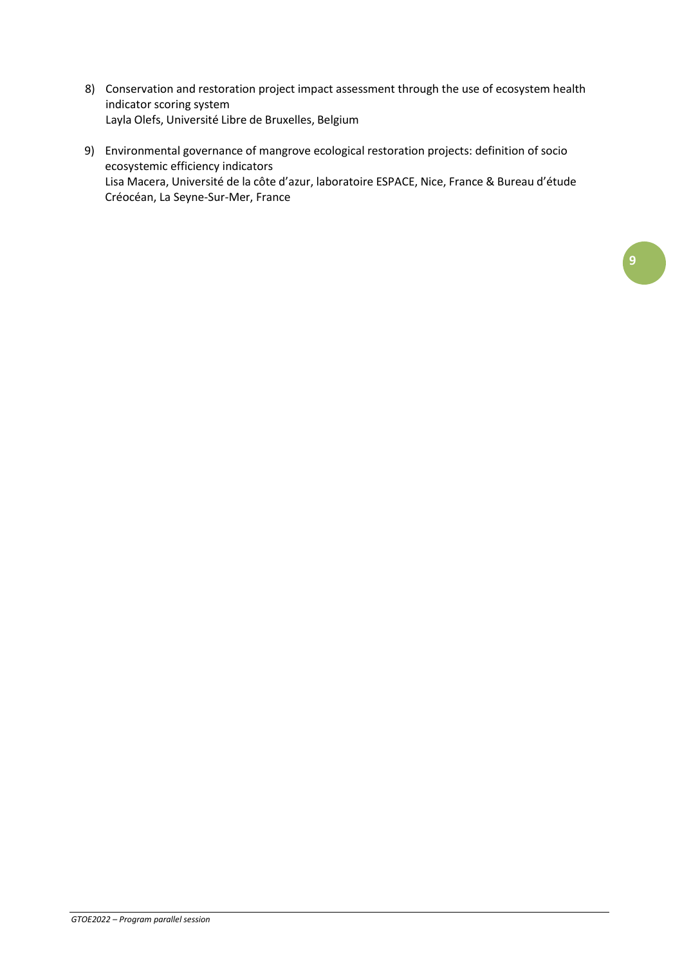- 8) Conservation and restoration project impact assessment through the use of ecosystem health indicator scoring system Layla Olefs, Université Libre de Bruxelles, Belgium
- 9) Environmental governance of mangrove ecological restoration projects: definition of socio ecosystemic efficiency indicators Lisa Macera, Université de la côte d'azur, laboratoire ESPACE, Nice, France & Bureau d'étude Créocéan, La Seyne-Sur-Mer, France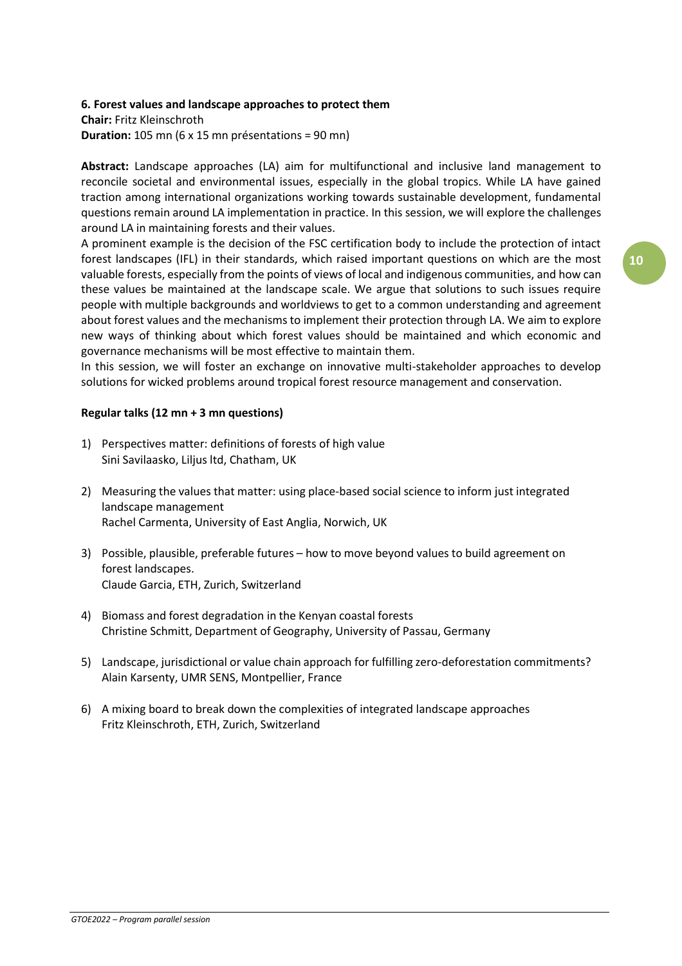# **6. Forest values and landscape approaches to protect them**

**Chair:** Fritz Kleinschroth **Duration:** 105 mn (6 x 15 mn présentations = 90 mn)

**Abstract:** Landscape approaches (LA) aim for multifunctional and inclusive land management to reconcile societal and environmental issues, especially in the global tropics. While LA have gained traction among international organizations working towards sustainable development, fundamental questions remain around LA implementation in practice. In this session, we will explore the challenges around LA in maintaining forests and their values.

A prominent example is the decision of the FSC certification body to include the protection of intact forest landscapes (IFL) in their standards, which raised important questions on which are the most valuable forests, especially from the points of views of local and indigenous communities, and how can these values be maintained at the landscape scale. We argue that solutions to such issues require people with multiple backgrounds and worldviews to get to a common understanding and agreement about forest values and the mechanisms to implement their protection through LA. We aim to explore new ways of thinking about which forest values should be maintained and which economic and governance mechanisms will be most effective to maintain them.

In this session, we will foster an exchange on innovative multi-stakeholder approaches to develop solutions for wicked problems around tropical forest resource management and conservation.

# **Regular talks (12 mn + 3 mn questions)**

- 1) Perspectives matter: definitions of forests of high value Sini Savilaasko, Liljus ltd, Chatham, UK
- 2) Measuring the values that matter: using place-based social science to inform just integrated landscape management Rachel Carmenta, University of East Anglia, Norwich, UK
- 3) Possible, plausible, preferable futures how to move beyond values to build agreement on forest landscapes. Claude Garcia, ETH, Zurich, Switzerland
- 4) Biomass and forest degradation in the Kenyan coastal forests Christine Schmitt, Department of Geography, University of Passau, Germany
- 5) Landscape, jurisdictional or value chain approach for fulfilling zero-deforestation commitments? Alain Karsenty, UMR SENS, Montpellier, France
- 6) A mixing board to break down the complexities of integrated landscape approaches Fritz Kleinschroth, ETH, Zurich, Switzerland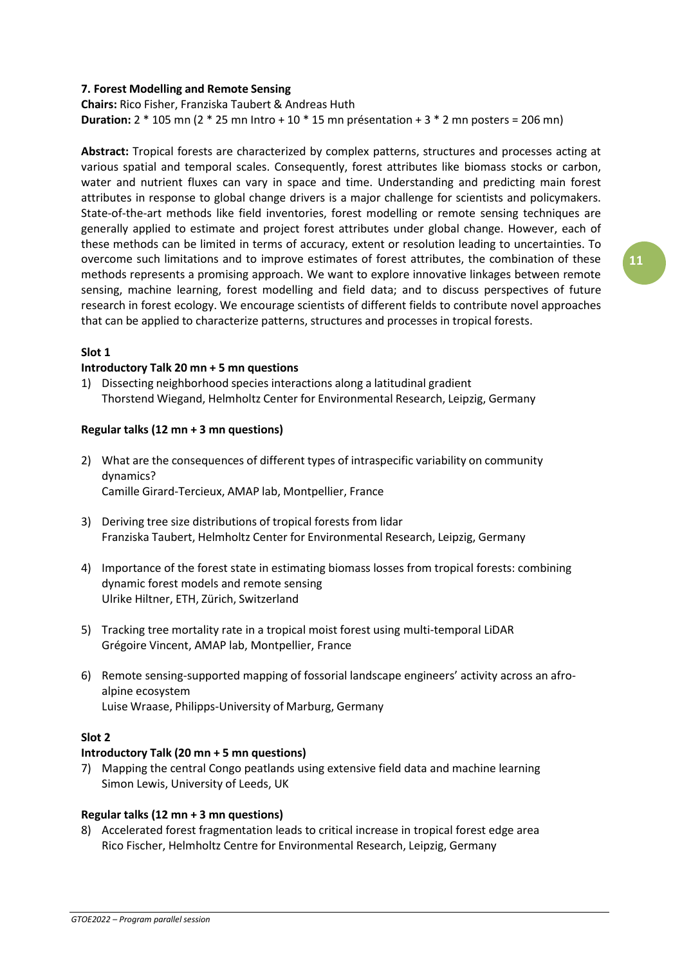# **7. Forest Modelling and Remote Sensing**

**Chairs:** Rico Fisher, Franziska Taubert & Andreas Huth **Duration:** 2 \* 105 mn (2 \* 25 mn Intro + 10 \* 15 mn présentation + 3 \* 2 mn posters = 206 mn)

**Abstract:** Tropical forests are characterized by complex patterns, structures and processes acting at various spatial and temporal scales. Consequently, forest attributes like biomass stocks or carbon, water and nutrient fluxes can vary in space and time. Understanding and predicting main forest attributes in response to global change drivers is a major challenge for scientists and policymakers. State-of-the-art methods like field inventories, forest modelling or remote sensing techniques are generally applied to estimate and project forest attributes under global change. However, each of these methods can be limited in terms of accuracy, extent or resolution leading to uncertainties. To overcome such limitations and to improve estimates of forest attributes, the combination of these methods represents a promising approach. We want to explore innovative linkages between remote sensing, machine learning, forest modelling and field data; and to discuss perspectives of future research in forest ecology. We encourage scientists of different fields to contribute novel approaches that can be applied to characterize patterns, structures and processes in tropical forests.

# **Slot 1**

# **Introductory Talk 20 mn + 5 mn questions**

1) Dissecting neighborhood species interactions along a latitudinal gradient Thorstend Wiegand, Helmholtz Center for Environmental Research, Leipzig, Germany

# **Regular talks (12 mn + 3 mn questions)**

- 2) What are the consequences of different types of intraspecific variability on community dynamics? Camille Girard-Tercieux, AMAP lab, Montpellier, France
- 3) Deriving tree size distributions of tropical forests from lidar Franziska Taubert, Helmholtz Center for Environmental Research, Leipzig, Germany
- 4) Importance of the forest state in estimating biomass losses from tropical forests: combining dynamic forest models and remote sensing Ulrike Hiltner, ETH, Zürich, Switzerland
- 5) Tracking tree mortality rate in a tropical moist forest using multi-temporal LiDAR Grégoire Vincent, AMAP lab, Montpellier, France
- 6) Remote sensing-supported mapping of fossorial landscape engineers' activity across an afroalpine ecosystem Luise Wraase, Philipps-University of Marburg, Germany

# **Slot 2**

# **Introductory Talk (20 mn + 5 mn questions)**

7) Mapping the central Congo peatlands using extensive field data and machine learning Simon Lewis, University of Leeds, UK

# **Regular talks (12 mn + 3 mn questions)**

8) Accelerated forest fragmentation leads to critical increase in tropical forest edge area Rico Fischer, Helmholtz Centre for Environmental Research, Leipzig, Germany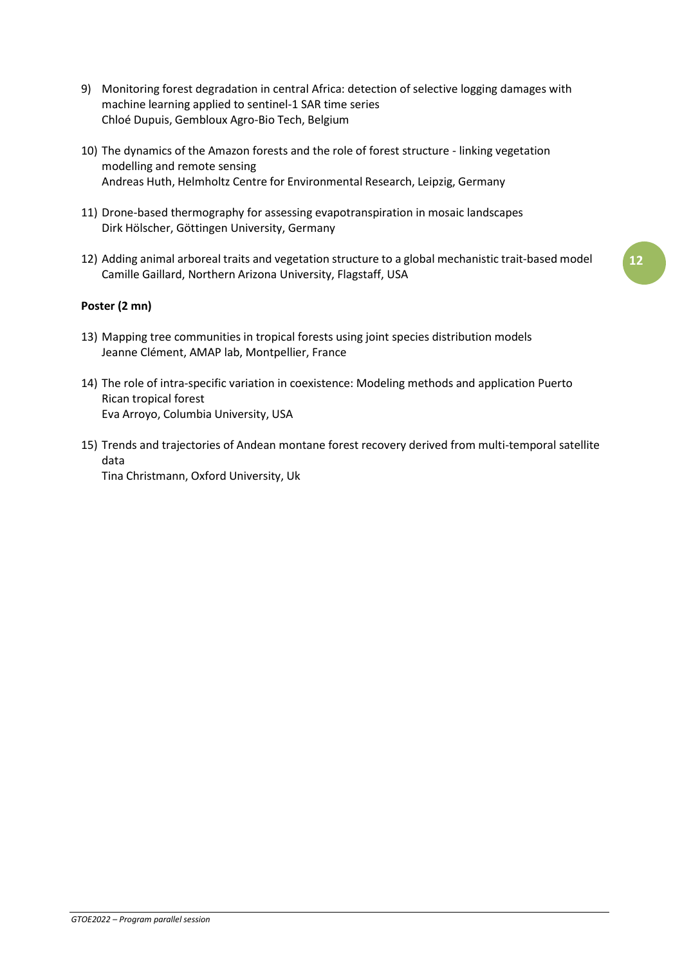- 9) Monitoring forest degradation in central Africa: detection of selective logging damages with machine learning applied to sentinel-1 SAR time series Chloé Dupuis, Gembloux Agro-Bio Tech, Belgium
- 10) The dynamics of the Amazon forests and the role of forest structure linking vegetation modelling and remote sensing Andreas Huth, Helmholtz Centre for Environmental Research, Leipzig, Germany
- 11) Drone-based thermography for assessing evapotranspiration in mosaic landscapes Dirk Hölscher, Göttingen University, Germany
- 12) Adding animal arboreal traits and vegetation structure to a global mechanistic trait-based model Camille Gaillard, Northern Arizona University, Flagstaff, USA

# **Poster (2 mn)**

- 13) Mapping tree communities in tropical forests using joint species distribution models Jeanne Clément, AMAP lab, Montpellier, France
- 14) The role of intra-specific variation in coexistence: Modeling methods and application Puerto Rican tropical forest Eva Arroyo, Columbia University, USA
- 15) Trends and trajectories of Andean montane forest recovery derived from multi-temporal satellite data

Tina Christmann, Oxford University, Uk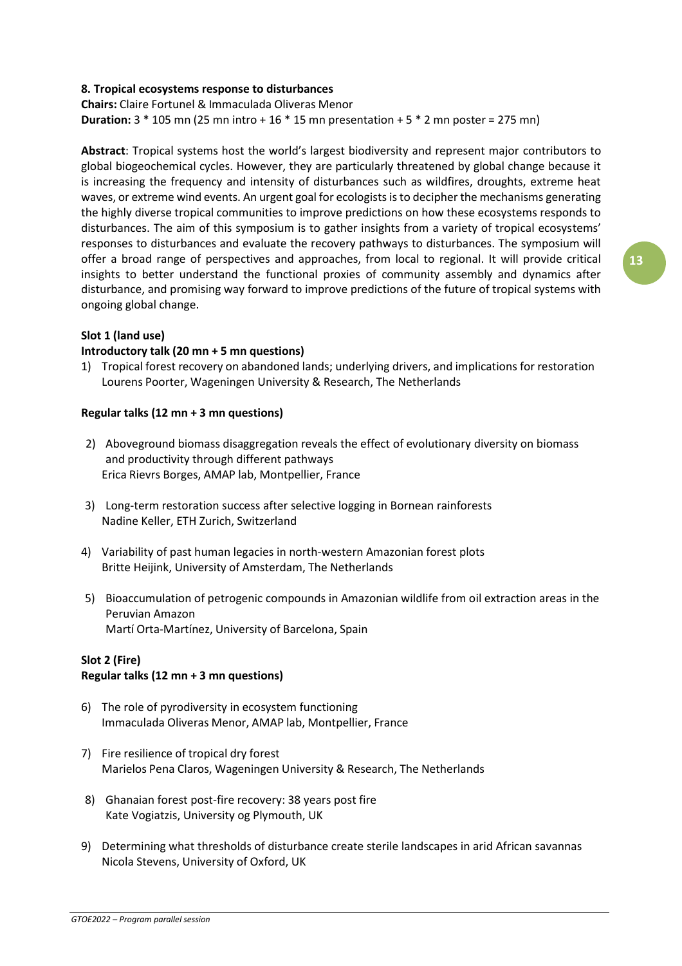# **8. Tropical ecosystems response to disturbances**

**Chairs:** Claire Fortunel & Immaculada Oliveras Menor **Duration:** 3 \* 105 mn (25 mn intro + 16 \* 15 mn presentation + 5 \* 2 mn poster = 275 mn)

**Abstract**: Tropical systems host the world's largest biodiversity and represent major contributors to global biogeochemical cycles. However, they are particularly threatened by global change because it is increasing the frequency and intensity of disturbances such as wildfires, droughts, extreme heat waves, or extreme wind events. An urgent goal for ecologistsisto decipher the mechanisms generating the highly diverse tropical communities to improve predictions on how these ecosystems responds to disturbances. The aim of this symposium is to gather insights from a variety of tropical ecosystems' responses to disturbances and evaluate the recovery pathways to disturbances. The symposium will offer a broad range of perspectives and approaches, from local to regional. It will provide critical insights to better understand the functional proxies of community assembly and dynamics after disturbance, and promising way forward to improve predictions of the future of tropical systems with ongoing global change.

#### **Slot 1 (land use)**

#### **Introductory talk (20 mn + 5 mn questions)**

1) Tropical forest recovery on abandoned lands; underlying drivers, and implications for restoration Lourens Poorter, Wageningen University & Research, The Netherlands

#### **Regular talks (12 mn + 3 mn questions)**

- 2) Aboveground biomass disaggregation reveals the effect of evolutionary diversity on biomass and productivity through different pathways Erica Rievrs Borges, AMAP lab, Montpellier, France
- 3) Long-term restoration success after selective logging in Bornean rainforests Nadine Keller, ETH Zurich, Switzerland
- 4) Variability of past human legacies in north-western Amazonian forest plots Britte Heijink, University of Amsterdam, The Netherlands
- 5) Bioaccumulation of petrogenic compounds in Amazonian wildlife from oil extraction areas in the Peruvian Amazon Martí Orta-Martínez, University of Barcelona, Spain

# **Slot 2 (Fire) Regular talks (12 mn + 3 mn questions)**

- 6) The role of pyrodiversity in ecosystem functioning Immaculada Oliveras Menor, AMAP lab, Montpellier, France
- 7) Fire resilience of tropical dry forest Marielos Pena Claros, Wageningen University & Research, The Netherlands
- 8) Ghanaian forest post-fire recovery: 38 years post fire Kate Vogiatzis, University og Plymouth, UK
- 9) Determining what thresholds of disturbance create sterile landscapes in arid African savannas Nicola Stevens, University of Oxford, UK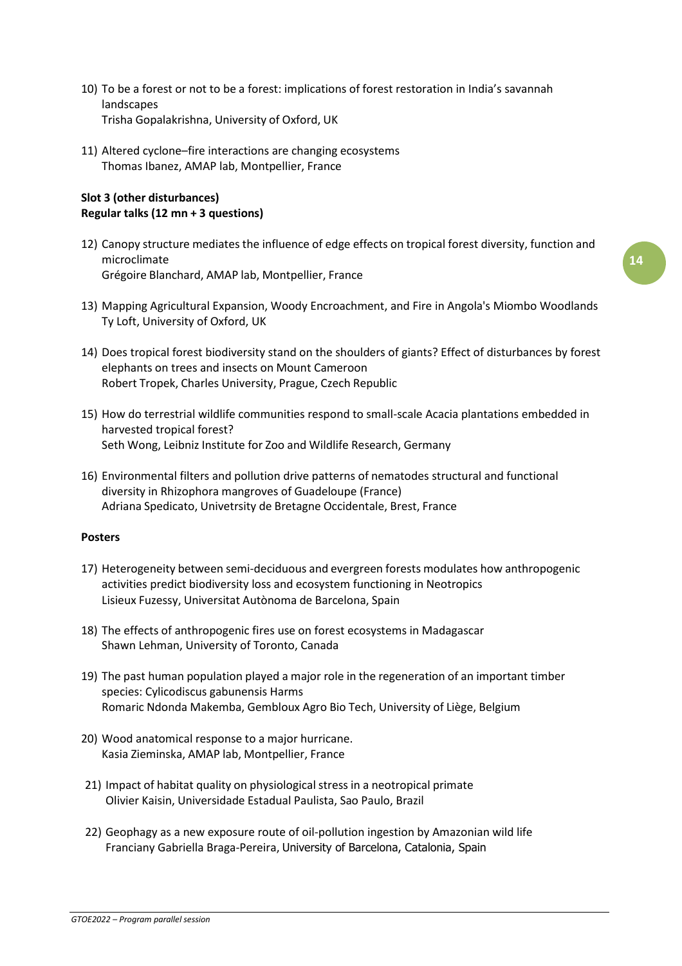- 10) To be a forest or not to be a forest: implications of forest restoration in India's savannah landscapes Trisha Gopalakrishna, University of Oxford, UK
- 11) Altered cyclone–fire interactions are changing ecosystems Thomas Ibanez, AMAP lab, Montpellier, France

# **Slot 3 (other disturbances) Regular talks (12 mn + 3 questions)**

- 12) Canopy structure mediates the influence of edge effects on tropical forest diversity, function and microclimate Grégoire Blanchard, AMAP lab, Montpellier, France
- 13) Mapping Agricultural Expansion, Woody Encroachment, and Fire in Angola's Miombo Woodlands Ty Loft, University of Oxford, UK
- 14) Does tropical forest biodiversity stand on the shoulders of giants? Effect of disturbances by forest elephants on trees and insects on Mount Cameroon Robert Tropek, Charles University, Prague, Czech Republic
- 15) How do terrestrial wildlife communities respond to small-scale Acacia plantations embedded in harvested tropical forest? Seth Wong, Leibniz Institute for Zoo and Wildlife Research, Germany
- 16) Environmental filters and pollution drive patterns of nematodes structural and functional diversity in Rhizophora mangroves of Guadeloupe (France) Adriana Spedicato, Univetrsity de Bretagne Occidentale, Brest, France

# **Posters**

- 17) Heterogeneity between semi-deciduous and evergreen forests modulates how anthropogenic activities predict biodiversity loss and ecosystem functioning in Neotropics Lisieux Fuzessy, Universitat Autònoma de Barcelona, Spain
- 18) The effects of anthropogenic fires use on forest ecosystems in Madagascar Shawn Lehman, University of Toronto, Canada
- 19) The past human population played a major role in the regeneration of an important timber species: Cylicodiscus gabunensis Harms Romaric Ndonda Makemba, Gembloux Agro Bio Tech, University of Liège, Belgium
- 20) Wood anatomical response to a major hurricane. Kasia Zieminska, AMAP lab, Montpellier, France
- 21) Impact of habitat quality on physiological stress in a neotropical primate Olivier Kaisin, Universidade Estadual Paulista, Sao Paulo, Brazil
- 22) Geophagy as a new exposure route of oil-pollution ingestion by Amazonian wild life Franciany Gabriella Braga-Pereira, University of Barcelona, Catalonia, Spain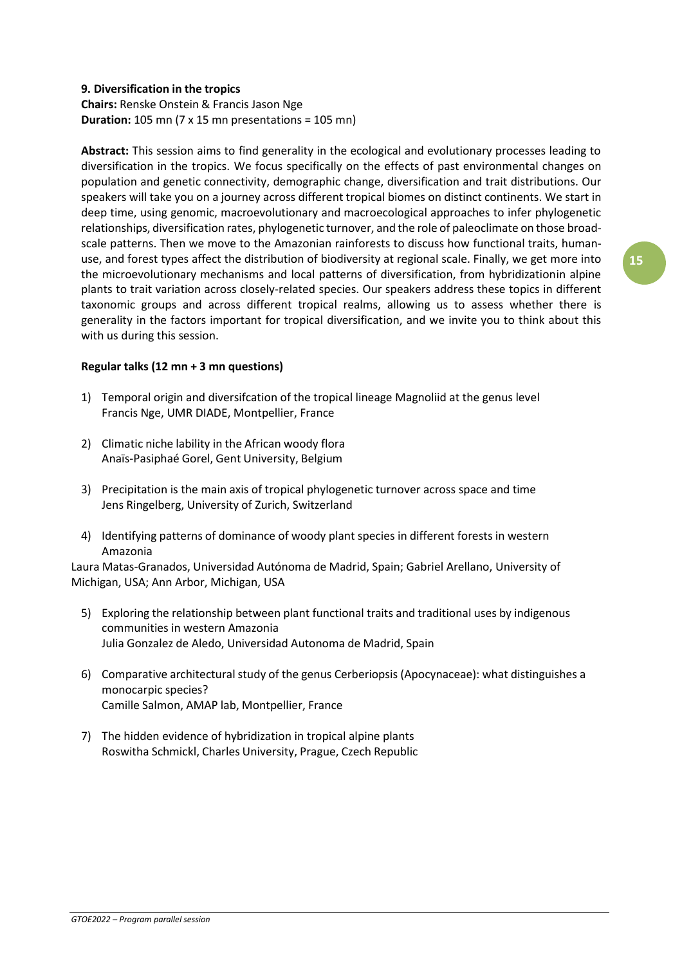# **9. Diversification in the tropics**

**Chairs:** Renske Onstein & Francis Jason Nge **Duration:** 105 mn (7 x 15 mn presentations = 105 mn)

**Abstract:** This session aims to find generality in the ecological and evolutionary processes leading to diversification in the tropics. We focus specifically on the effects of past environmental changes on population and genetic connectivity, demographic change, diversification and trait distributions. Our speakers will take you on a journey across different tropical biomes on distinct continents. We start in deep time, using genomic, macroevolutionary and macroecological approaches to infer phylogenetic relationships, diversification rates, phylogenetic turnover, and the role of paleoclimate on those broadscale patterns. Then we move to the Amazonian rainforests to discuss how functional traits, humanuse, and forest types affect the distribution of biodiversity at regional scale. Finally, we get more into the microevolutionary mechanisms and local patterns of diversification, from hybridizationin alpine plants to trait variation across closely-related species. Our speakers address these topics in different taxonomic groups and across different tropical realms, allowing us to assess whether there is generality in the factors important for tropical diversification, and we invite you to think about this with us during this session.

# **Regular talks (12 mn + 3 mn questions)**

- 1) Temporal origin and diversifcation of the tropical lineage Magnoliid at the genus level Francis Nge, UMR DIADE, Montpellier, France
- 2) Climatic niche lability in the African woody flora Anaïs-Pasiphaé Gorel, Gent University, Belgium
- 3) Precipitation is the main axis of tropical phylogenetic turnover across space and time Jens Ringelberg, University of Zurich, Switzerland
- 4) Identifying patterns of dominance of woody plant species in different forests in western Amazonia

Laura Matas-Granados, Universidad Autónoma de Madrid, Spain; Gabriel Arellano, University of Michigan, USA; Ann Arbor, Michigan, USA

- 5) Exploring the relationship between plant functional traits and traditional uses by indigenous communities in western Amazonia Julia Gonzalez de Aledo, Universidad Autonoma de Madrid, Spain
- 6) Comparative architectural study of the genus Cerberiopsis (Apocynaceae): what distinguishes a monocarpic species? Camille Salmon, AMAP lab, Montpellier, France
- 7) The hidden evidence of hybridization in tropical alpine plants Roswitha Schmickl, Charles University, Prague, Czech Republic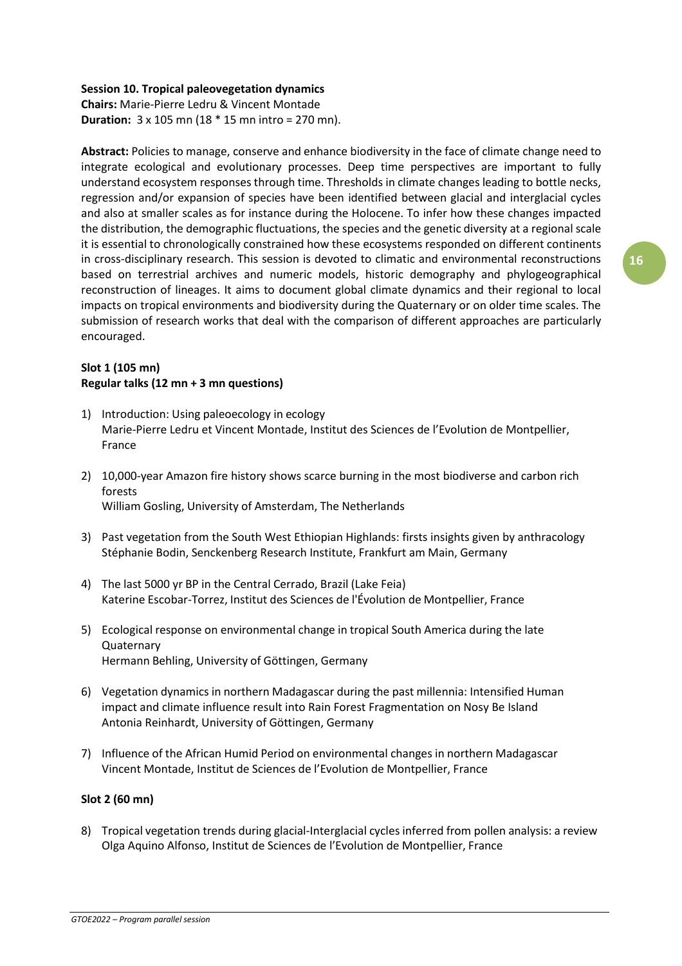# **Session 10. Tropical paleovegetation dynamics**

**Chairs:** Marie-Pierre Ledru & Vincent Montade **Duration:** 3 x 105 mn (18 \* 15 mn intro = 270 mn).

**Abstract:** Policies to manage, conserve and enhance biodiversity in the face of climate change need to integrate ecological and evolutionary processes. Deep time perspectives are important to fully understand ecosystem responses through time. Thresholds in climate changes leading to bottle necks, regression and/or expansion of species have been identified between glacial and interglacial cycles and also at smaller scales as for instance during the Holocene. To infer how these changes impacted the distribution, the demographic fluctuations, the species and the genetic diversity at a regional scale it is essential to chronologically constrained how these ecosystems responded on different continents in cross-disciplinary research. This session is devoted to climatic and environmental reconstructions based on terrestrial archives and numeric models, historic demography and phylogeographical reconstruction of lineages. It aims to document global climate dynamics and their regional to local impacts on tropical environments and biodiversity during the Quaternary or on older time scales. The submission of research works that deal with the comparison of different approaches are particularly encouraged.

# **Slot 1 (105 mn) Regular talks (12 mn + 3 mn questions)**

- 1) Introduction: Using paleoecology in ecology Marie-Pierre Ledru et Vincent Montade, Institut des Sciences de l'Evolution de Montpellier, France
- 2) 10,000-year Amazon fire history shows scarce burning in the most biodiverse and carbon rich forests William Gosling, University of Amsterdam, The Netherlands
- 3) Past vegetation from the South West Ethiopian Highlands: firsts insights given by anthracology Stéphanie Bodin, Senckenberg Research Institute, Frankfurt am Main, Germany
- 4) The last 5000 yr BP in the Central Cerrado, Brazil (Lake Feia) Katerine Escobar-Torrez, Institut des Sciences de l'Évolution de Montpellier, France
- 5) Ecological response on environmental change in tropical South America during the late **Quaternary** Hermann Behling, University of Göttingen, Germany
- 6) Vegetation dynamics in northern Madagascar during the past millennia: Intensified Human impact and climate influence result into Rain Forest Fragmentation on Nosy Be Island Antonia Reinhardt, University of Göttingen, Germany
- 7) Influence of the African Humid Period on environmental changes in northern Madagascar Vincent Montade, Institut de Sciences de l'Evolution de Montpellier, France

# **Slot 2 (60 mn)**

8) Tropical vegetation trends during glacial-Interglacial cycles inferred from pollen analysis: a review Olga Aquino Alfonso, Institut de Sciences de l'Evolution de Montpellier, France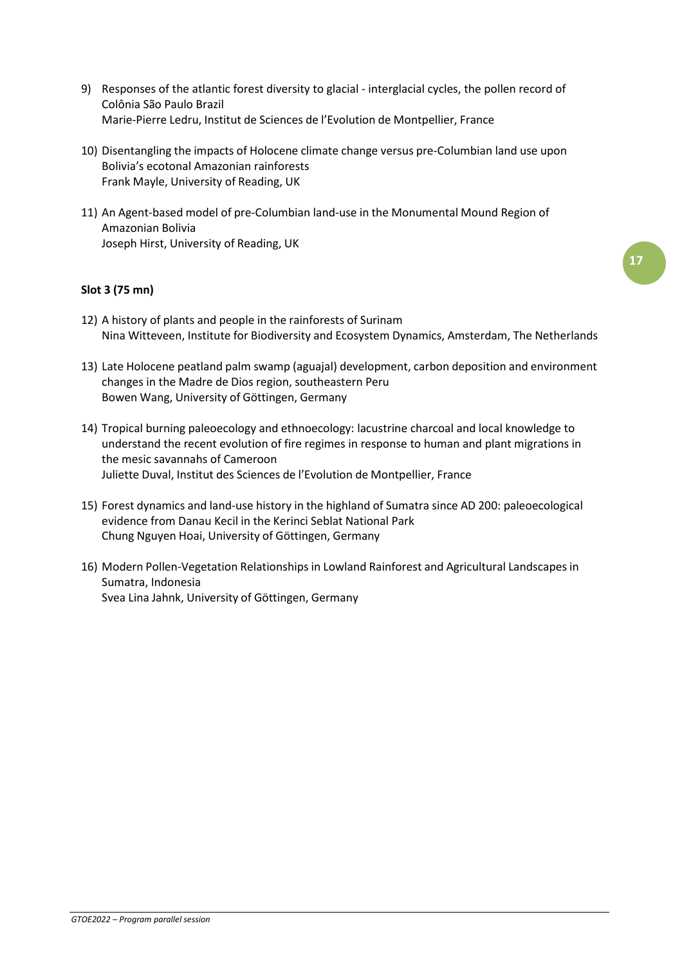- 9) Responses of the atlantic forest diversity to glacial interglacial cycles, the pollen record of Colônia São Paulo Brazil Marie-Pierre Ledru, Institut de Sciences de l'Evolution de Montpellier, France
- 10) Disentangling the impacts of Holocene climate change versus pre-Columbian land use upon Bolivia's ecotonal Amazonian rainforests Frank Mayle, University of Reading, UK
- 11) An Agent-based model of pre-Columbian land-use in the Monumental Mound Region of Amazonian Bolivia Joseph Hirst, University of Reading, UK

# **Slot 3 (75 mn)**

- 12) A history of plants and people in the rainforests of Surinam Nina Witteveen, Institute for Biodiversity and Ecosystem Dynamics, Amsterdam, The Netherlands
- 13) Late Holocene peatland palm swamp (aguajal) development, carbon deposition and environment changes in the Madre de Dios region, southeastern Peru Bowen Wang, University of Göttingen, Germany
- 14) Tropical burning paleoecology and ethnoecology: lacustrine charcoal and local knowledge to understand the recent evolution of fire regimes in response to human and plant migrations in the mesic savannahs of Cameroon Juliette Duval, Institut des Sciences de l'Evolution de Montpellier, France
- 15) Forest dynamics and land-use history in the highland of Sumatra since AD 200: paleoecological evidence from Danau Kecil in the Kerinci Seblat National Park Chung Nguyen Hoai, University of Göttingen, Germany
- 16) Modern Pollen-Vegetation Relationships in Lowland Rainforest and Agricultural Landscapesin Sumatra, Indonesia Svea Lina Jahnk, University of Göttingen, Germany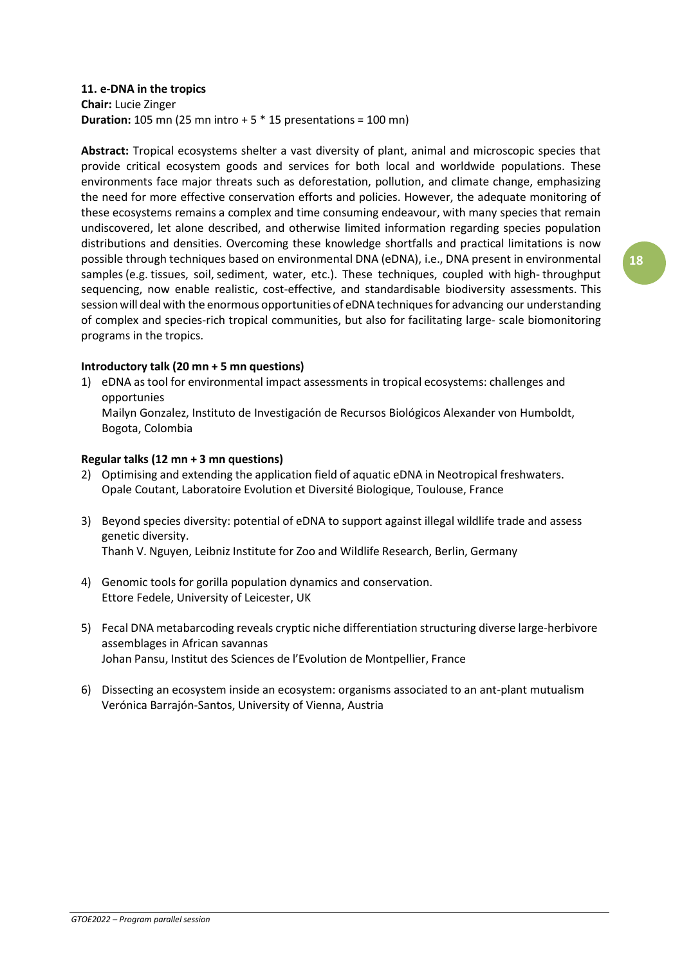# **11. e-DNA in the tropics**

**Chair:** Lucie Zinger **Duration:** 105 mn (25 mn intro + 5 \* 15 presentations = 100 mn)

**Abstract:** Tropical ecosystems shelter a vast diversity of plant, animal and microscopic species that provide critical ecosystem goods and services for both local and worldwide populations. These environments face major threats such as deforestation, pollution, and climate change, emphasizing the need for more effective conservation efforts and policies. However, the adequate monitoring of these ecosystems remains a complex and time consuming endeavour, with many species that remain undiscovered, let alone described, and otherwise limited information regarding species population distributions and densities. Overcoming these knowledge shortfalls and practical limitations is now possible through techniques based on environmental DNA (eDNA), i.e., DNA present in environmental samples (e.g. tissues, soil, sediment, water, etc.). These techniques, coupled with high- throughput sequencing, now enable realistic, cost-effective, and standardisable biodiversity assessments. This session will deal with the enormous opportunities of eDNA techniques for advancing our understanding of complex and species-rich tropical communities, but also for facilitating large- scale biomonitoring programs in the tropics.

# **Introductory talk (20 mn + 5 mn questions)**

1) eDNA as tool for environmental impact assessments in tropical ecosystems: challenges and opportunies

Mailyn Gonzalez, Instituto de Investigación de Recursos Biológicos Alexander von Humboldt, Bogota, Colombia

# **Regular talks (12 mn + 3 mn questions)**

- 2) Optimising and extending the application field of aquatic eDNA in Neotropical freshwaters. Opale Coutant, Laboratoire Evolution et Diversité Biologique, Toulouse, France
- 3) Beyond species diversity: potential of eDNA to support against illegal wildlife trade and assess genetic diversity. Thanh V. Nguyen, Leibniz Institute for Zoo and Wildlife Research, Berlin, Germany
- 4) Genomic tools for gorilla population dynamics and conservation. Ettore Fedele, University of Leicester, UK
- 5) Fecal DNA metabarcoding reveals cryptic niche differentiation structuring diverse large-herbivore assemblages in African savannas Johan Pansu, Institut des Sciences de l'Evolution de Montpellier, France
- 6) Dissecting an ecosystem inside an ecosystem: organisms associated to an ant-plant mutualism Verónica Barrajón-Santos, University of Vienna, Austria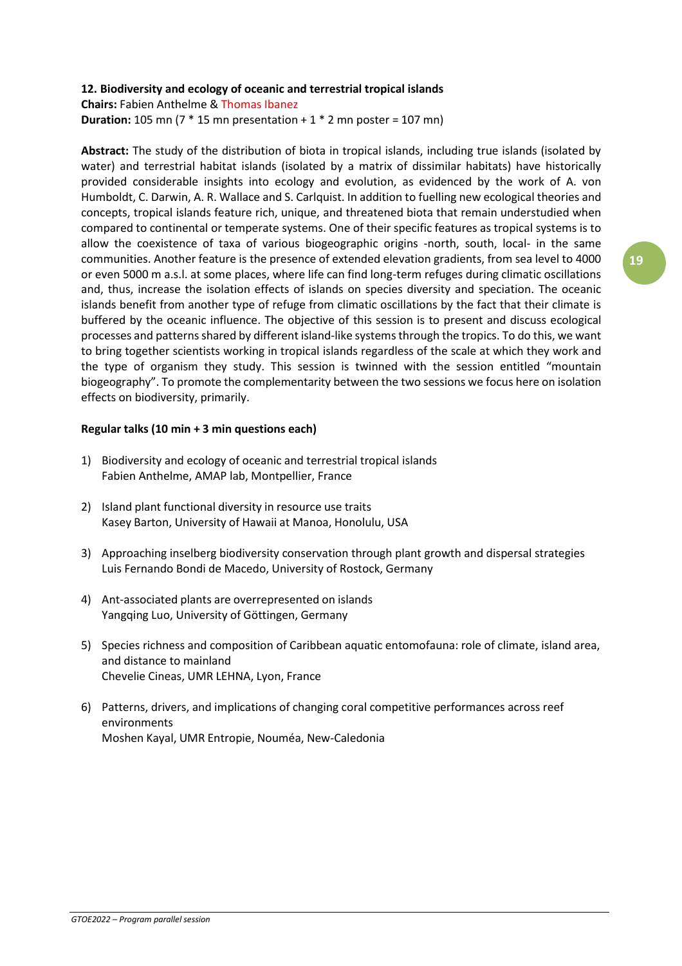# **12. Biodiversity and ecology of oceanic and terrestrial tropical islands**

**Chairs:** Fabien Anthelme & Thomas Ibanez

**Duration:** 105 mn ( $7 * 15$  mn presentation +  $1 * 2$  mn poster = 107 mn)

**Abstract:** The study of the distribution of biota in tropical islands, including true islands (isolated by water) and terrestrial habitat islands (isolated by a matrix of dissimilar habitats) have historically provided considerable insights into ecology and evolution, as evidenced by the work of A. von Humboldt, C. Darwin, A. R. Wallace and S. Carlquist. In addition to fuelling new ecological theories and concepts, tropical islands feature rich, unique, and threatened biota that remain understudied when compared to continental or temperate systems. One of their specific features as tropical systems is to allow the coexistence of taxa of various biogeographic origins -north, south, local- in the same communities. Another feature is the presence of extended elevation gradients, from sea level to 4000 or even 5000 m a.s.l. at some places, where life can find long-term refuges during climatic oscillations and, thus, increase the isolation effects of islands on species diversity and speciation. The oceanic islands benefit from another type of refuge from climatic oscillations by the fact that their climate is buffered by the oceanic influence. The objective of this session is to present and discuss ecological processes and patterns shared by different island-like systems through the tropics. To do this, we want to bring together scientists working in tropical islands regardless of the scale at which they work and the type of organism they study. This session is twinned with the session entitled "mountain biogeography". To promote the complementarity between the two sessions we focus here on isolation effects on biodiversity, primarily.

# **Regular talks (10 min + 3 min questions each)**

- 1) Biodiversity and ecology of oceanic and terrestrial tropical islands Fabien Anthelme, AMAP lab, Montpellier, France
- 2) Island plant functional diversity in resource use traits Kasey Barton, University of Hawaii at Manoa, Honolulu, USA
- 3) Approaching inselberg biodiversity conservation through plant growth and dispersal strategies Luis Fernando Bondi de Macedo, University of Rostock, Germany
- 4) Ant-associated plants are overrepresented on islands Yangqing Luo, University of Göttingen, Germany
- 5) Species richness and composition of Caribbean aquatic entomofauna: role of climate, island area, and distance to mainland Chevelie Cineas, UMR LEHNA, Lyon, France
- 6) Patterns, drivers, and implications of changing coral competitive performances across reef environments Moshen Kayal, UMR Entropie, Nouméa, New-Caledonia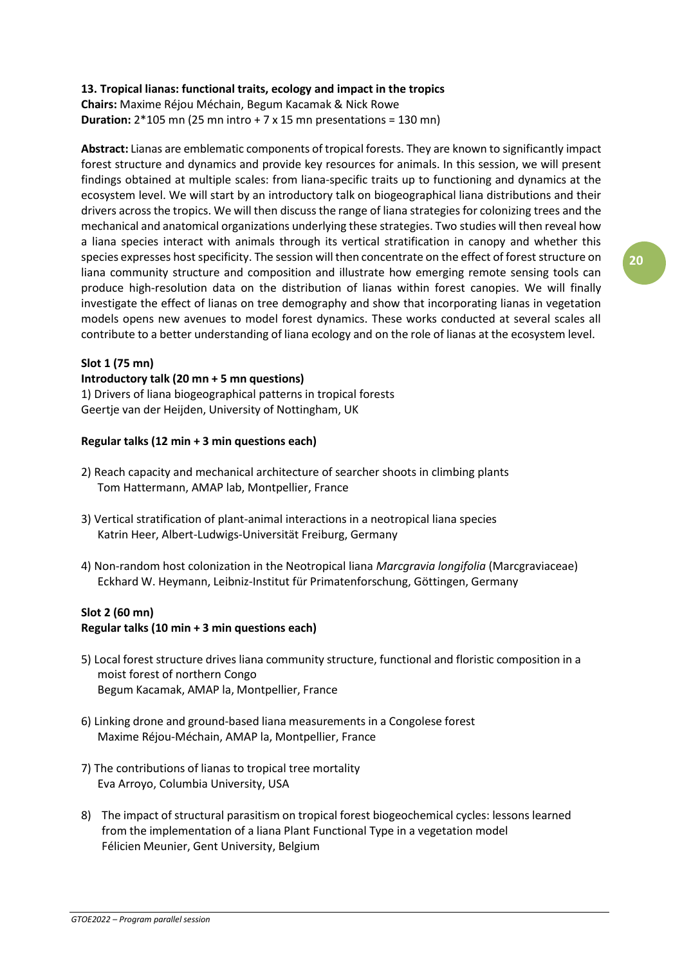# **13. Tropical lianas: functional traits, ecology and impact in the tropics**

**Chairs:** Maxime Réjou Méchain, Begum Kacamak & Nick Rowe **Duration:**  $2*105$  mn (25 mn intro  $+7 \times 15$  mn presentations = 130 mn)

**Abstract:** Lianas are emblematic components of tropical forests. They are known to significantly impact forest structure and dynamics and provide key resources for animals. In this session, we will present findings obtained at multiple scales: from liana-specific traits up to functioning and dynamics at the ecosystem level. We will start by an introductory talk on biogeographical liana distributions and their drivers acrossthe tropics. We will then discussthe range of liana strategies for colonizing trees and the mechanical and anatomical organizations underlying these strategies. Two studies will then reveal how a liana species interact with animals through its vertical stratification in canopy and whether this species expresses host specificity. The session will then concentrate on the effect of forest structure on liana community structure and composition and illustrate how emerging remote sensing tools can produce high-resolution data on the distribution of lianas within forest canopies. We will finally investigate the effect of lianas on tree demography and show that incorporating lianas in vegetation models opens new avenues to model forest dynamics. These works conducted at several scales all contribute to a better understanding of liana ecology and on the role of lianas at the ecosystem level.

# **Slot 1 (75 mn)**

#### **Introductory talk (20 mn + 5 mn questions)**

1) Drivers of liana biogeographical patterns in tropical forests Geertje van der Heijden, University of Nottingham, UK

# **Regular talks (12 min + 3 min questions each)**

- 2) Reach capacity and mechanical architecture of searcher shoots in climbing plants Tom Hattermann, AMAP lab, Montpellier, France
- 3) Vertical stratification of plant-animal interactions in a neotropical liana species Katrin Heer, Albert-Ludwigs-Universität Freiburg, Germany
- 4) Non-random host colonization in the Neotropical liana *Marcgravia longifolia* (Marcgraviaceae) Eckhard W. Heymann, Leibniz-Institut für Primatenforschung, Göttingen, Germany

# **Slot 2 (60 mn)**

# **Regular talks (10 min + 3 min questions each)**

- 5) Local forest structure drives liana community structure, functional and floristic composition in a moist forest of northern Congo Begum Kacamak, AMAP la, Montpellier, France
- 6) Linking drone and ground-based liana measurements in a Congolese forest Maxime Réjou-Méchain, AMAP la, Montpellier, France
- 7) The contributions of lianas to tropical tree mortality Eva Arroyo, Columbia University, USA
- 8) The impact of structural parasitism on tropical forest biogeochemical cycles: lessons learned from the implementation of a liana Plant Functional Type in a vegetation model Félicien Meunier, Gent University, Belgium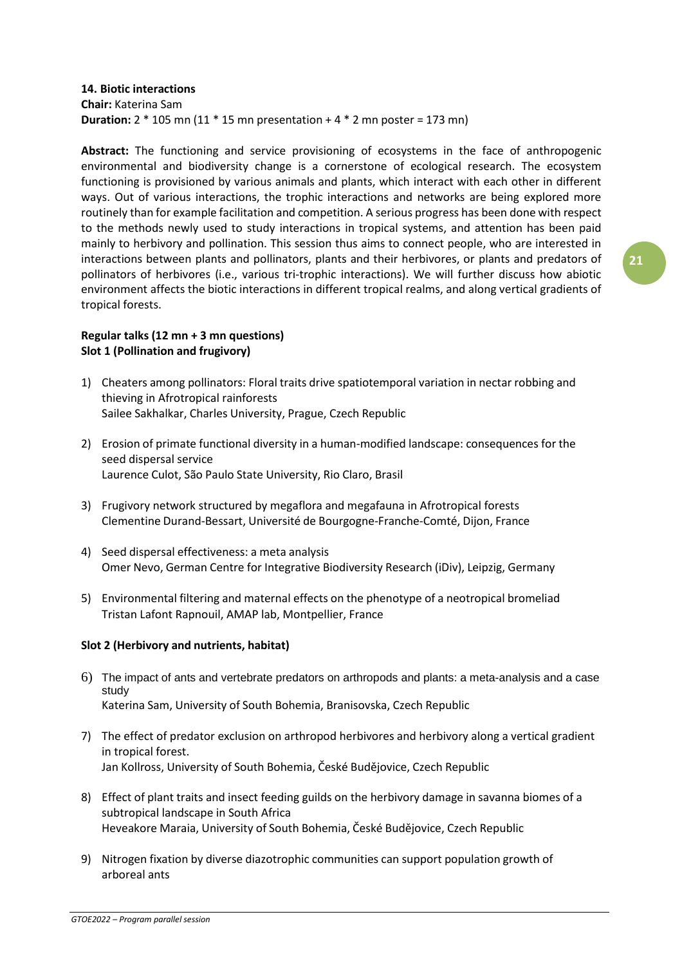# **14. Biotic interactions Chair:** Katerina Sam **Duration:**  $2 * 105$  mn (11  $* 15$  mn presentation  $+ 4 * 2$  mn poster = 173 mn)

**Abstract:** The functioning and service provisioning of ecosystems in the face of anthropogenic environmental and biodiversity change is a cornerstone of ecological research. The ecosystem functioning is provisioned by various animals and plants, which interact with each other in different ways. Out of various interactions, the trophic interactions and networks are being explored more routinely than for example facilitation and competition. A serious progress has been done with respect to the methods newly used to study interactions in tropical systems, and attention has been paid mainly to herbivory and pollination. This session thus aims to connect people, who are interested in interactions between plants and pollinators, plants and their herbivores, or plants and predators of pollinators of herbivores (i.e., various tri-trophic interactions). We will further discuss how abiotic environment affects the biotic interactions in different tropical realms, and along vertical gradients of tropical forests.

# **Regular talks (12 mn + 3 mn questions) Slot 1 (Pollination and frugivory)**

- 1) Cheaters among pollinators: Floral traits drive spatiotemporal variation in nectar robbing and thieving in Afrotropical rainforests Sailee Sakhalkar, Charles University, Prague, Czech Republic
- 2) Erosion of primate functional diversity in a human-modified landscape: consequences for the seed dispersal service Laurence Culot, São Paulo State University, Rio Claro, Brasil
- 3) Frugivory network structured by megaflora and megafauna in Afrotropical forests Clementine Durand-Bessart, Université de Bourgogne-Franche-Comté, Dijon, France
- 4) Seed dispersal effectiveness: a meta analysis Omer Nevo, German Centre for Integrative Biodiversity Research (iDiv), Leipzig, Germany
- 5) Environmental filtering and maternal effects on the phenotype of a neotropical bromeliad Tristan Lafont Rapnouil, AMAP lab, Montpellier, France

# **Slot 2 (Herbivory and nutrients, habitat)**

- 6) The impact of ants and vertebrate predators on arthropods and plants: a meta-analysis and a case study Katerina Sam, University of South Bohemia, Branisovska, Czech Republic
- 7) The effect of predator exclusion on arthropod herbivores and herbivory along a vertical gradient in tropical forest. Jan Kollross, University of South Bohemia, České Budějovice, Czech Republic
- 8) Effect of plant traits and insect feeding guilds on the herbivory damage in savanna biomes of a subtropical landscape in South Africa Heveakore Maraia, University of South Bohemia, České Budějovice, Czech Republic
- 9) Nitrogen fixation by diverse diazotrophic communities can support population growth of arboreal ants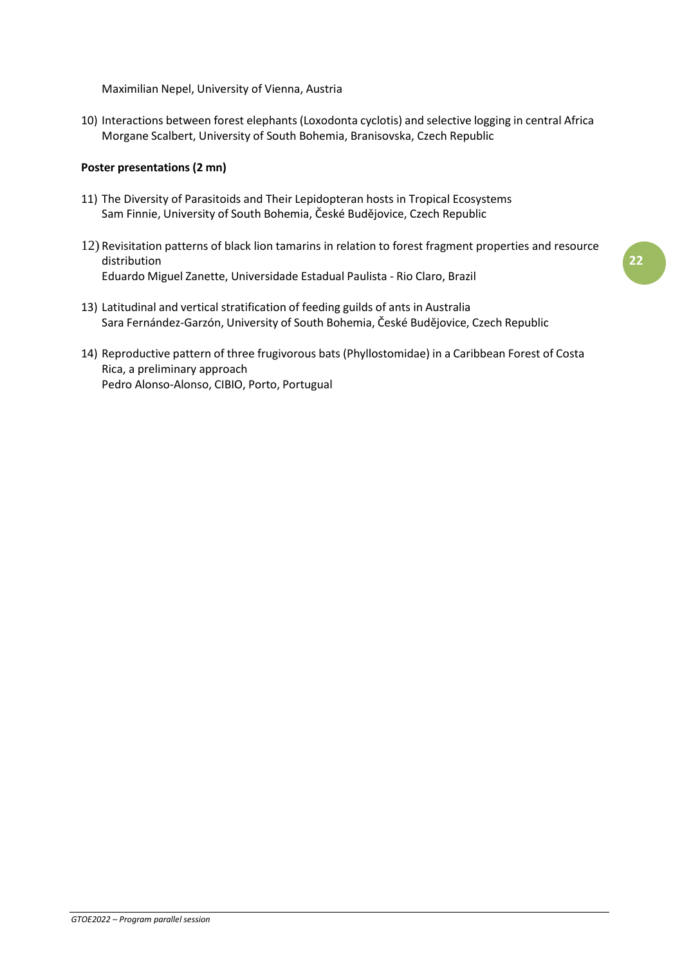Maximilian Nepel, University of Vienna, Austria

10) Interactions between forest elephants (Loxodonta cyclotis) and selective logging in central Africa Morgane Scalbert, University of South Bohemia, Branisovska, Czech Republic

# **Poster presentations (2 mn)**

- 11) The Diversity of Parasitoids and Their Lepidopteran hosts in Tropical Ecosystems Sam Finnie, University of South Bohemia, České Budějovice, Czech Republic
- 12) Revisitation patterns of black lion tamarins in relation to forest fragment properties and resource distribution Eduardo Miguel Zanette, Universidade Estadual Paulista - Rio Claro, Brazil
- 13) Latitudinal and vertical stratification of feeding guilds of ants in Australia Sara Fernández-Garzón, University of South Bohemia, České Budějovice, Czech Republic
- 14) Reproductive pattern of three frugivorous bats (Phyllostomidae) in a Caribbean Forest of Costa Rica, a preliminary approach Pedro Alonso-Alonso, CIBIO, Porto, Portugual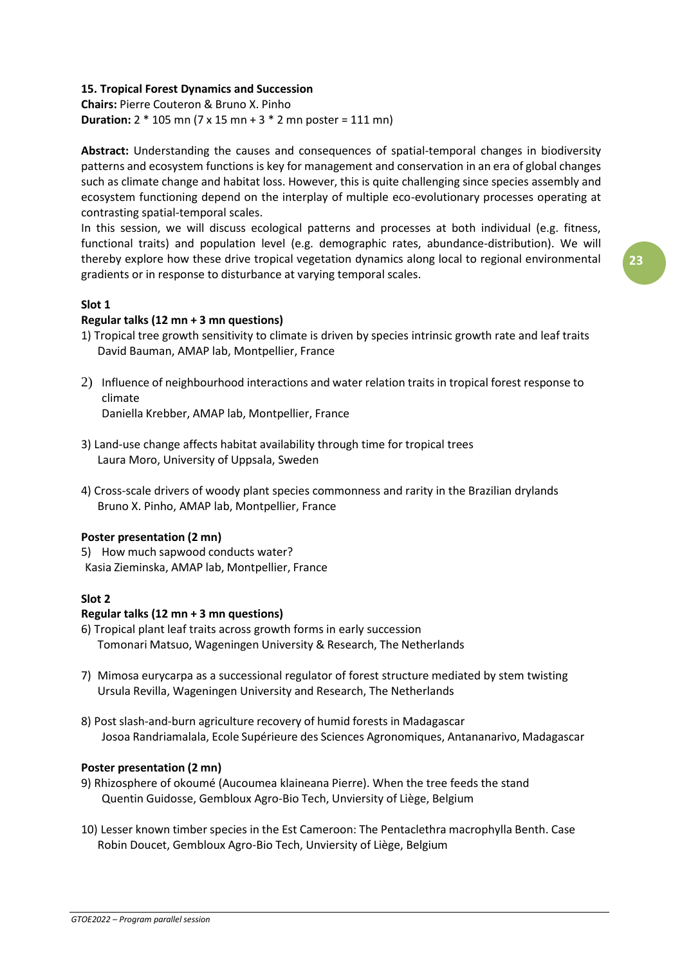# **15. Tropical Forest Dynamics and Succession**

**Chairs:** Pierre Couteron & Bruno X. Pinho **Duration:** 2 \* 105 mn (7 x 15 mn + 3 \* 2 mn poster = 111 mn)

**Abstract:** Understanding the causes and consequences of spatial-temporal changes in biodiversity patterns and ecosystem functions is key for management and conservation in an era of global changes such as climate change and habitat loss. However, this is quite challenging since species assembly and ecosystem functioning depend on the interplay of multiple eco-evolutionary processes operating at contrasting spatial-temporal scales.

In this session, we will discuss ecological patterns and processes at both individual (e.g. fitness, functional traits) and population level (e.g. demographic rates, abundance-distribution). We will thereby explore how these drive tropical vegetation dynamics along local to regional environmental gradients or in response to disturbance at varying temporal scales.

# **Slot 1**

# **Regular talks (12 mn + 3 mn questions)**

- 1) Tropical tree growth sensitivity to climate is driven by species intrinsic growth rate and leaf traits David Bauman, AMAP lab, Montpellier, France
- 2) Influence of neighbourhood interactions and water relation traits in tropical forest response to climate

Daniella Krebber, AMAP lab, Montpellier, France

- 3) Land-use change affects habitat availability through time for tropical trees Laura Moro, University of Uppsala, Sweden
- 4) Cross-scale drivers of woody plant species commonness and rarity in the Brazilian drylands Bruno X. Pinho, AMAP lab, Montpellier, France

# **Poster presentation (2 mn)**

5) How much sapwood conducts water? Kasia Zieminska, AMAP lab, Montpellier, France

# **Slot 2**

# **Regular talks (12 mn + 3 mn questions)**

- 6) Tropical plant leaf traits across growth forms in early succession Tomonari Matsuo, Wageningen University & Research, The Netherlands
- 7) Mimosa eurycarpa as a successional regulator of forest structure mediated by stem twisting Ursula Revilla, Wageningen University and Research, The Netherlands
- 8) Post slash-and-burn agriculture recovery of humid forests in Madagascar Josoa Randriamalala, Ecole Supérieure des Sciences Agronomiques, Antananarivo, Madagascar

#### **Poster presentation (2 mn)**

- 9) Rhizosphere of okoumé (Aucoumea klaineana Pierre). When the tree feeds the stand Quentin Guidosse, Gembloux Agro-Bio Tech, Unviersity of Liège, Belgium
- 10) Lesser known timber species in the Est Cameroon: The Pentaclethra macrophylla Benth. Case Robin Doucet, Gembloux Agro-Bio Tech, Unviersity of Liège, Belgium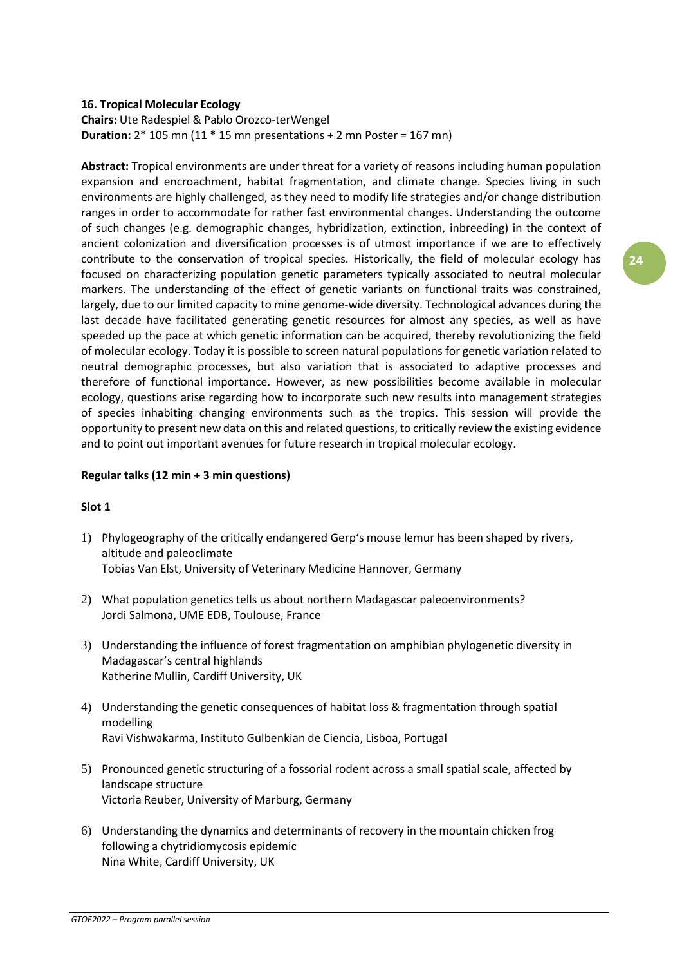#### **16. Tropical Molecular Ecology**

# **Chairs:** Ute Radespiel & Pablo Orozco-terWengel **Duration:** 2\* 105 mn (11 \* 15 mn presentations + 2 mn Poster = 167 mn)

**Abstract:** Tropical environments are under threat for a variety of reasons including human population expansion and encroachment, habitat fragmentation, and climate change. Species living in such environments are highly challenged, as they need to modify life strategies and/or change distribution ranges in order to accommodate for rather fast environmental changes. Understanding the outcome of such changes (e.g. demographic changes, hybridization, extinction, inbreeding) in the context of ancient colonization and diversification processes is of utmost importance if we are to effectively contribute to the conservation of tropical species. Historically, the field of molecular ecology has focused on characterizing population genetic parameters typically associated to neutral molecular markers. The understanding of the effect of genetic variants on functional traits was constrained, largely, due to our limited capacity to mine genome-wide diversity. Technological advances during the last decade have facilitated generating genetic resources for almost any species, as well as have speeded up the pace at which genetic information can be acquired, thereby revolutionizing the field of molecular ecology. Today it is possible to screen natural populations for genetic variation related to neutral demographic processes, but also variation that is associated to adaptive processes and therefore of functional importance. However, as new possibilities become available in molecular ecology, questions arise regarding how to incorporate such new results into management strategies of species inhabiting changing environments such as the tropics. This session will provide the opportunity to present new data on this and related questions, to critically review the existing evidence and to point out important avenues for future research in tropical molecular ecology.

# **Regular talks (12 min + 3 min questions)**

# **Slot 1**

- 1) Phylogeography of the critically endangered Gerp's mouse lemur has been shaped by rivers, altitude and paleoclimate Tobias Van Elst, University of Veterinary Medicine Hannover, Germany
- 2) What population genetics tells us about northern Madagascar paleoenvironments? Jordi Salmona, UME EDB, Toulouse, France
- 3) Understanding the influence of forest fragmentation on amphibian phylogenetic diversity in Madagascar's central highlands Katherine Mullin, Cardiff University, UK
- 4) Understanding the genetic consequences of habitat loss & fragmentation through spatial modelling Ravi Vishwakarma, Instituto Gulbenkian de Ciencia, Lisboa, Portugal
- 5) Pronounced genetic structuring of a fossorial rodent across a small spatial scale, affected by landscape structure Victoria Reuber, University of Marburg, Germany
- 6) Understanding the dynamics and determinants of recovery in the mountain chicken frog following a chytridiomycosis epidemic Nina White, Cardiff University, UK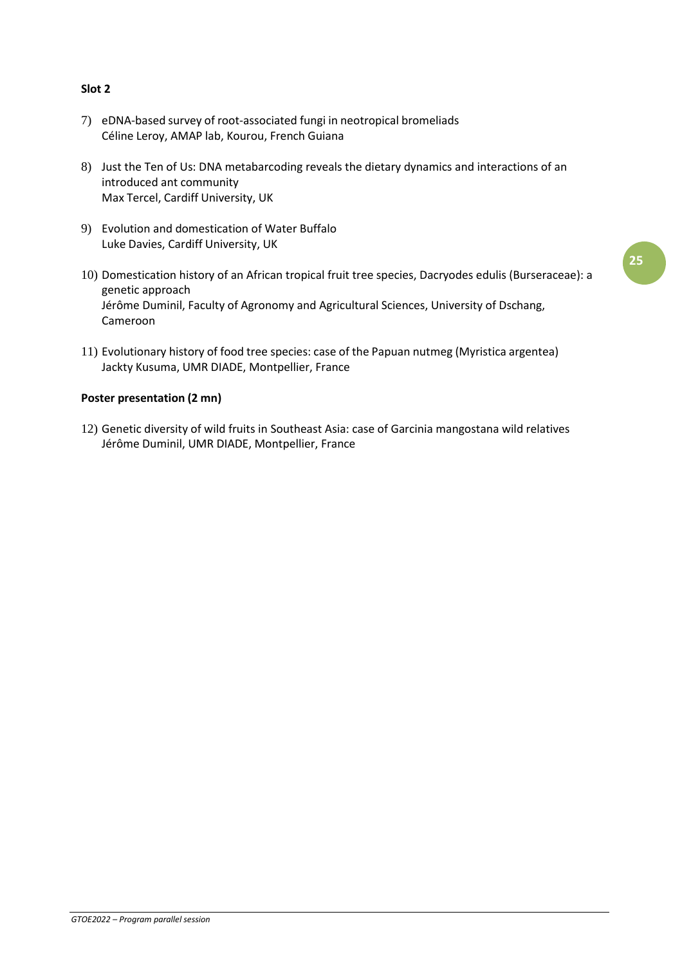# **Slot 2**

- 7) eDNA-based survey of root-associated fungi in neotropical bromeliads Céline Leroy, AMAP lab, Kourou, French Guiana
- 8) Just the Ten of Us: DNA metabarcoding reveals the dietary dynamics and interactions of an introduced ant community Max Tercel, Cardiff University, UK
- 9) Evolution and domestication of Water Buffalo Luke Davies, Cardiff University, UK
- 10) Domestication history of an African tropical fruit tree species, Dacryodes edulis (Burseraceae): a genetic approach Jérôme Duminil, Faculty of Agronomy and Agricultural Sciences, University of Dschang, Cameroon
- 11) Evolutionary history of food tree species: case of the Papuan nutmeg (Myristica argentea) Jackty Kusuma, UMR DIADE, Montpellier, France

# **Poster presentation (2 mn)**

12) Genetic diversity of wild fruits in Southeast Asia: case of Garcinia mangostana wild relatives Jérôme Duminil, UMR DIADE, Montpellier, France